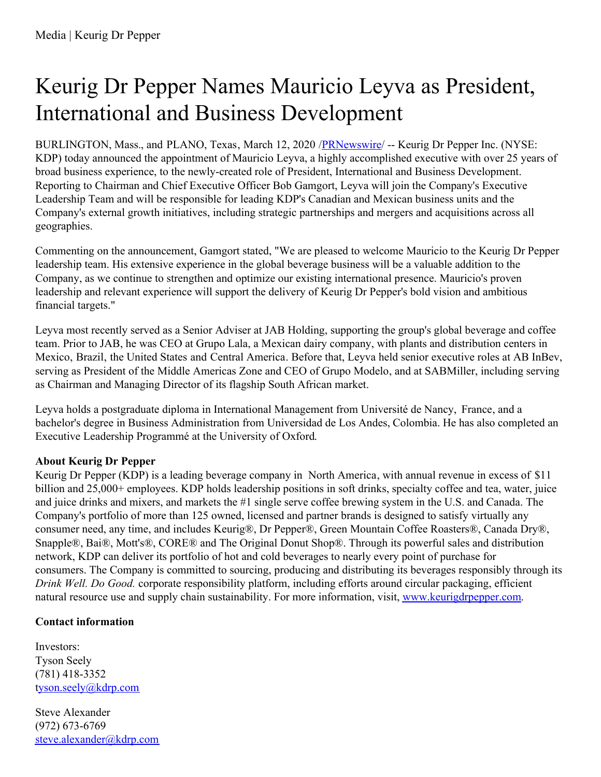## Keurig Dr Pepper Names Mauricio Leyva as President, International and Business Development

BURLINGTON, Mass., and PLANO, Texas, March 12, 2020 /[PRNewswire](http://www.prnewswire.com/)/ -- Keurig Dr Pepper Inc. (NYSE: KDP) today announced the appointment of Mauricio Leyva, a highly accomplished executive with over 25 years of broad business experience, to the newly-created role of President, International and Business Development. Reporting to Chairman and Chief Executive Officer Bob Gamgort, Leyva will join the Company's Executive Leadership Team and will be responsible for leading KDP's Canadian and Mexican business units and the Company's external growth initiatives, including strategic partnerships and mergers and acquisitions across all geographies.

Commenting on the announcement, Gamgort stated, "We are pleased to welcome Mauricio to the Keurig Dr Pepper leadership team. His extensive experience in the global beverage business will be a valuable addition to the Company, as we continue to strengthen and optimize our existing international presence. Mauricio's proven leadership and relevant experience will support the delivery of Keurig Dr Pepper's bold vision and ambitious financial targets."

Leyva most recently served as a Senior Adviser at JAB Holding, supporting the group's global beverage and coffee team. Prior to JAB, he was CEO at Grupo Lala, a Mexican dairy company, with plants and distribution centers in Mexico, Brazil, the United States and Central America. Before that, Leyva held senior executive roles at AB InBev, serving as President of the Middle Americas Zone and CEO of Grupo Modelo, and at SABMiller, including serving as Chairman and Managing Director of its flagship South African market.

Leyva holds a postgraduate diploma in International Management from Université de Nancy, France, and a bachelor's degree in Business Administration from Universidad de Los Andes, Colombia. He has also completed an Executive Leadership Programmé at the University of Oxford.

## **About Keurig Dr Pepper**

Keurig Dr Pepper (KDP) is a leading beverage company in North America, with annual revenue in excess of \$11 billion and 25,000+ employees. KDP holds leadership positions in soft drinks, specialty coffee and tea, water, juice and juice drinks and mixers, and markets the #1 single serve coffee brewing system in the U.S. and Canada. The Company's portfolio of more than 125 owned, licensed and partner brands is designed to satisfy virtually any consumer need, any time, and includes Keurig®, Dr Pepper®, Green Mountain Coffee Roasters®, Canada Dry®, Snapple®, Bai®, Mott's®, CORE® and The Original Donut Shop®. Through its powerful sales and distribution network, KDP can deliver its portfolio of hot and cold beverages to nearly every point of purchase for consumers. The Company is committed to sourcing, producing and distributing its beverages responsibly through its *Drink Well. Do Good.* corporate responsibility platform, including efforts around circular packaging, efficient natural resource use and supply chain sustainability. For more information, visit, [www.keurigdrpepper.com](http://www.keurigdrpepper.com).

## **Contact information**

Investors: Tyson Seely (781) 418-3352 [tyson.seely@kdrp.com](mailto:tyson.seely@kdrp.com)

Steve Alexander (972) 673-6769 [steve.alexander@kdrp.com](mailto:steve.alexander@kdrp.com)